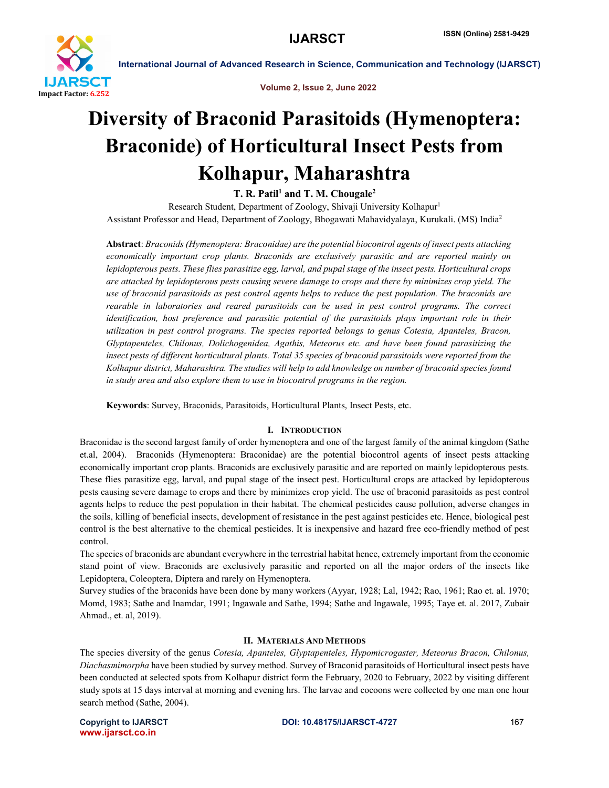

Volume 2, Issue 2, June 2022

# Diversity of Braconid Parasitoids (Hymenoptera: Braconide) of Horticultural Insect Pests from Kolhapur, Maharashtra

T. R. Patil<sup>1</sup> and T. M. Chougale<sup>2</sup>

Research Student, Department of Zoology, Shivaji University Kolhapur<sup>1</sup> Assistant Professor and Head, Department of Zoology, Bhogawati Mahavidyalaya, Kurukali. (MS) India2

Abstract: *Braconids (Hymenoptera: Braconidae) are the potential biocontrol agents of insect pests attacking economically important crop plants. Braconids are exclusively parasitic and are reported mainly on lepidopterous pests. These flies parasitize egg, larval, and pupal stage of the insect pests. Horticultural crops are attacked by lepidopterous pests causing severe damage to crops and there by minimizes crop yield. The use of braconid parasitoids as pest control agents helps to reduce the pest population. The braconids are rearable in laboratories and reared parasitoids can be used in pest control programs. The correct identification, host preference and parasitic potential of the parasitoids plays important role in their utilization in pest control programs. The species reported belongs to genus Cotesia, Apanteles, Bracon, Glyptapenteles, Chilonus, Dolichogenidea, Agathis, Meteorus etc. and have been found parasitizing the insect pests of different horticultural plants. Total 35 species of braconid parasitoids were reported from the Kolhapur district, Maharashtra. The studies will help to add knowledge on number of braconid species found in study area and also explore them to use in biocontrol programs in the region.*

Keywords: Survey, Braconids, Parasitoids, Horticultural Plants, Insect Pests, etc.

## I. INTRODUCTION

Braconidae is the second largest family of order hymenoptera and one of the largest family of the animal kingdom (Sathe et.al, 2004). Braconids (Hymenoptera: Braconidae) are the potential biocontrol agents of insect pests attacking economically important crop plants. Braconids are exclusively parasitic and are reported on mainly lepidopterous pests. These flies parasitize egg, larval, and pupal stage of the insect pest. Horticultural crops are attacked by lepidopterous pests causing severe damage to crops and there by minimizes crop yield. The use of braconid parasitoids as pest control agents helps to reduce the pest population in their habitat. The chemical pesticides cause pollution, adverse changes in the soils, killing of beneficial insects, development of resistance in the pest against pesticides etc. Hence, biological pest control is the best alternative to the chemical pesticides. It is inexpensive and hazard free eco-friendly method of pest control.

The species of braconids are abundant everywhere in the terrestrial habitat hence, extremely important from the economic stand point of view. Braconids are exclusively parasitic and reported on all the major orders of the insects like Lepidoptera, Coleoptera, Diptera and rarely on Hymenoptera.

Survey studies of the braconids have been done by many workers (Ayyar, 1928; Lal, 1942; Rao, 1961; Rao et. al. 1970; Momd, 1983; Sathe and Inamdar, 1991; Ingawale and Sathe, 1994; Sathe and Ingawale, 1995; Taye et. al. 2017, Zubair Ahmad., et. al, 2019).

### II. MATERIALS AND METHODS

The species diversity of the genus *Cotesia, Apanteles, Glyptapenteles, Hypomicrogaster, Meteorus Bracon, Chilonus, Diachasmimorpha* have been studied by survey method. Survey of Braconid parasitoids of Horticultural insect pests have been conducted at selected spots from Kolhapur district form the February, 2020 to February, 2022 by visiting different study spots at 15 days interval at morning and evening hrs. The larvae and cocoons were collected by one man one hour search method (Sathe, 2004).

www.ijarsct.co.in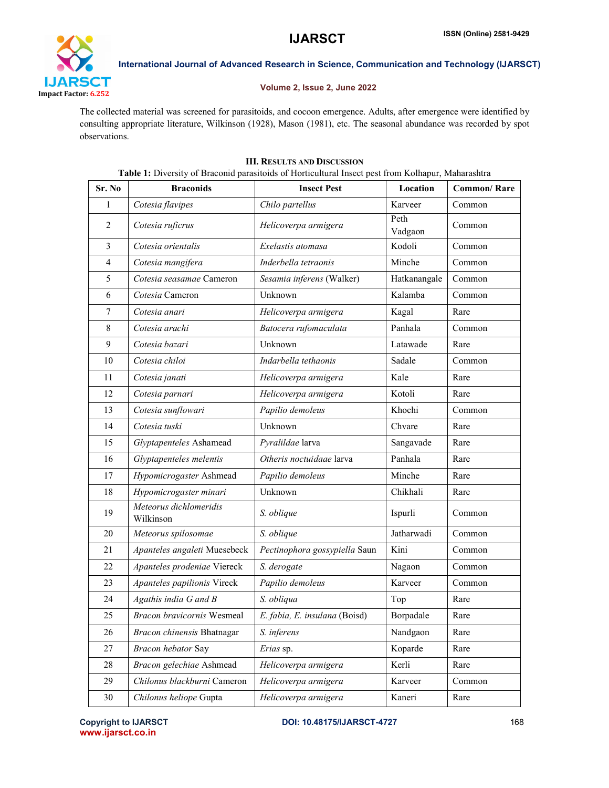

## Volume 2, Issue 2, June 2022

The collected material was screened for parasitoids, and cocoon emergence. Adults, after emergence were identified by consulting appropriate literature, Wilkinson (1928), Mason (1981), etc. The seasonal abundance was recorded by spot observations.

# III. RESULTS AND DISCUSSION

Sr. No Braconids Insect Pest Location Common/ Rare *Cotesia flavipes Chilo partellus* Karveer Common *Cotesia ruficrus Helicoverpa armigera* Peth Vadgaon Common *Cotesia orientalis Exelastis atomasa* Kodoli Common *Cotesia mangifera Inderbella tetraonis* Minche Common *Cotesia seasamae* Cameron *Sesamia inferens* (Walker) Hatkanangale Common *Cotesia* Cameron Unknown Kalamba Common *Cotesia anari Helicoverpa armigera* Kagal Rare *Cotesia arachi Batocera rufomaculata* Panhala Common *Cotesia bazari* Unknown Latawade Rare *Cotesia chiloi Indarbella tethaonis* Sadale Common *Cotesia janati Helicoverpa armigera* | Kale | Rare *Cotesia parnari Helicoverpa armigera* Kotoli Rare *Cotesia sunflowari Papilio demoleus* Khochi Common *Cotesia tuski* Unknown Chvare Rare *Glyptapenteles* Ashamead *Pyralildae* larva Sangavade Rare *Glyptapenteles melentis Otheris noctuidaae* larva Panhala Rare *Hypomicrogaster* Ashmead *Papilio demoleus* Minche Rare *Hypomicrogaster minari* Unknown Chikhali Rare *Meteorus dichlomeridis* Wilkinson **S.** *S. oblique* Ispurli Common **Ispania** *Meteorus spilosomae S. oblique* Jatharwadi Common *Apanteles angaleti* Muesebeck *Pectinophora gossypiella* Saun Kini Common *Apanteles prodeniae* Viereck *S. derogate* Nagaon Common *Apanteles papilionis Vireck Papilio demoleus* Karveer Common *Agathis india G and B S. obliqua* Top Rare *Bracon bravicornis* Wesmeal *E. fabia, E. insulana* (Boisd) Borpadale Rare *Bracon chinensis* Bhatnagar *S. inferens* Nandgaon Rare *Bracon hebator* Say *Erias* sp. Koparde Rare *Bracon gelechiae* Ashmead *Helicoverpa armigera* Kerli Rare *Chilonus blackburni* Cameron *Helicoverpa armigera* Karveer Common *Chilonus heliope* Gupta *Helicoverpa armigera* Kaneri Rare

Table 1: Diversity of Braconid parasitoids of Horticultural Insect pest from Kolhapur, Maharashtra

www.ijarsct.co.in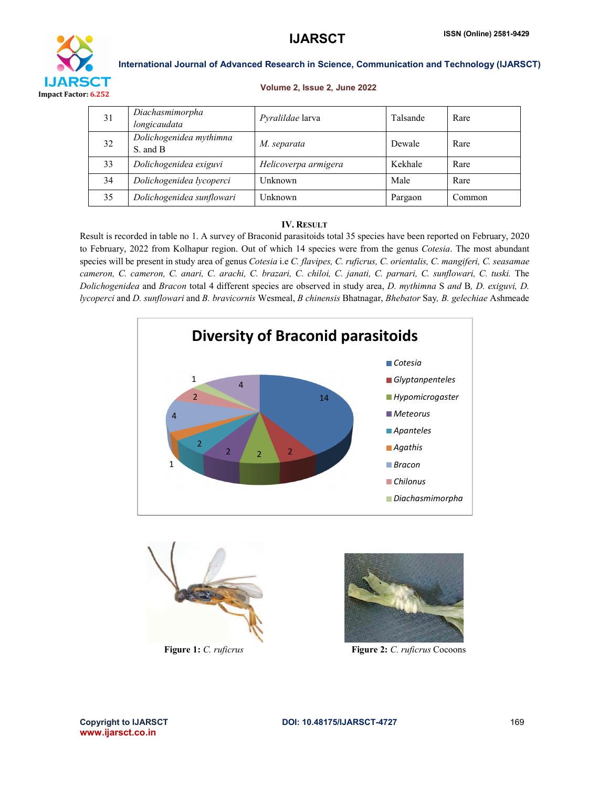

#### Volume 2, Issue 2, June 2022

| 31 | Diachasmimorpha<br>longicaudata      | Pyralildae larva     | Talsande | Rare   |
|----|--------------------------------------|----------------------|----------|--------|
| 32 | Dolichogenidea mythimna<br>S. and B. | M. separata          | Dewale   | Rare   |
| 33 | Dolichogenidea exiguvi               | Helicoverpa armigera | Kekhale  | Rare   |
| 34 | Dolichogenidea lycoperci             | Unknown              | Male     | Rare   |
| 35 | Dolichogenidea sunflowari            | Unknown              | Pargaon  | Common |

## IV. RESULT

Result is recorded in table no 1. A survey of Braconid parasitoids total 35 species have been reported on February, 2020 to February, 2022 from Kolhapur region. Out of which 14 species were from the genus *Cotesia*. The most abundant species will be present in study area of genus *Cotesia* i.e *C. flavipes, C. ruficrus, C. orientalis, C. mangiferi, C. seasamae*  cameron, C. cameron, C. anari, C. arachi, C. brazari, C. chiloi, C. janati, C. parnari, C. sunflowari, C. tuski. The *Dolichogenidea* and *Bracon* total 4 different species are observed in study area, *D. mythimna* S *and* B*, D. exiguvi, D. lycoperci* and *D. sunflowari* and *B. bravicornis* Wesmeal, *B chinensis* Bhatnagar, *Bhebator* Say*, B. gelechiae* Ashmeade







Figure 1: *C. ruficrus* Figure 2: *C. ruficrus* Cocoons

www.ijarsct.co.in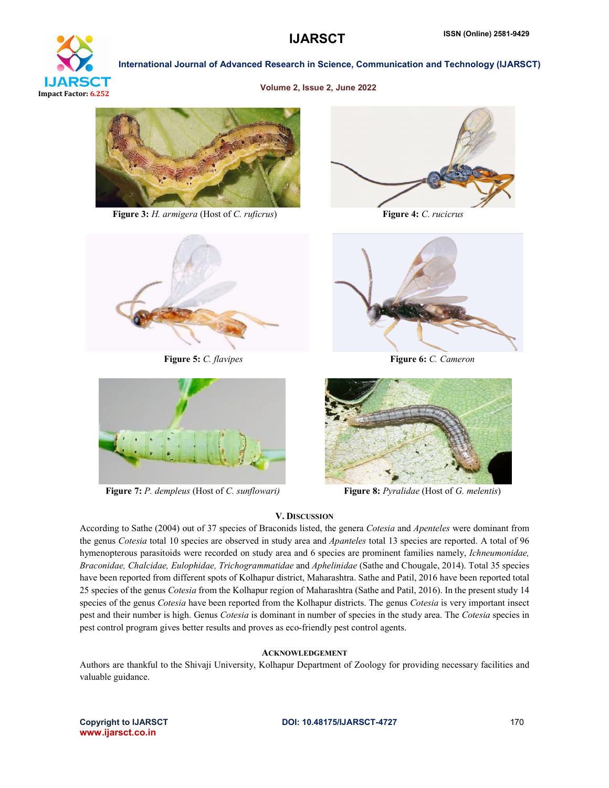

#### Volume 2, Issue 2, June 2022



Figure 3: *H. armigera* (Host of *C. ruficrus*) Figure 4: *C. rucicrus*







Figure 5: *C. flavipes* Figure 6: *C. Cameron* 



Figure 7: *P. dempleus* (Host of *C. sunflowari)* Figure 8: *Pyralidae* (Host of *G. melentis*)



## V. DISCUSSION

According to Sathe (2004) out of 37 species of Braconids listed, the genera *Cotesia* and *Apenteles* were dominant from the genus *Cotesia* total 10 species are observed in study area and *Apanteles* total 13 species are reported. A total of 96 hymenopterous parasitoids were recorded on study area and 6 species are prominent families namely, *Ichneumonidae, Braconidae, Chalcidae, Eulophidae, Trichogrammatidae* and *Aphelinidae* (Sathe and Chougale, 2014). Total 35 species have been reported from different spots of Kolhapur district, Maharashtra. Sathe and Patil, 2016 have been reported total 25 species of the genus *Cotesia* from the Kolhapur region of Maharashtra (Sathe and Patil, 2016). In the present study 14 species of the genus *Cotesia* have been reported from the Kolhapur districts. The genus *Cotesia* is very important insect pest and their number is high. Genus *Cotesia* is dominant in number of species in the study area. The *Cotesia* species in pest control program gives better results and proves as eco-friendly pest control agents.

## ACKNOWLEDGEMENT

Authors are thankful to the Shivaji University, Kolhapur Department of Zoology for providing necessary facilities and valuable guidance.